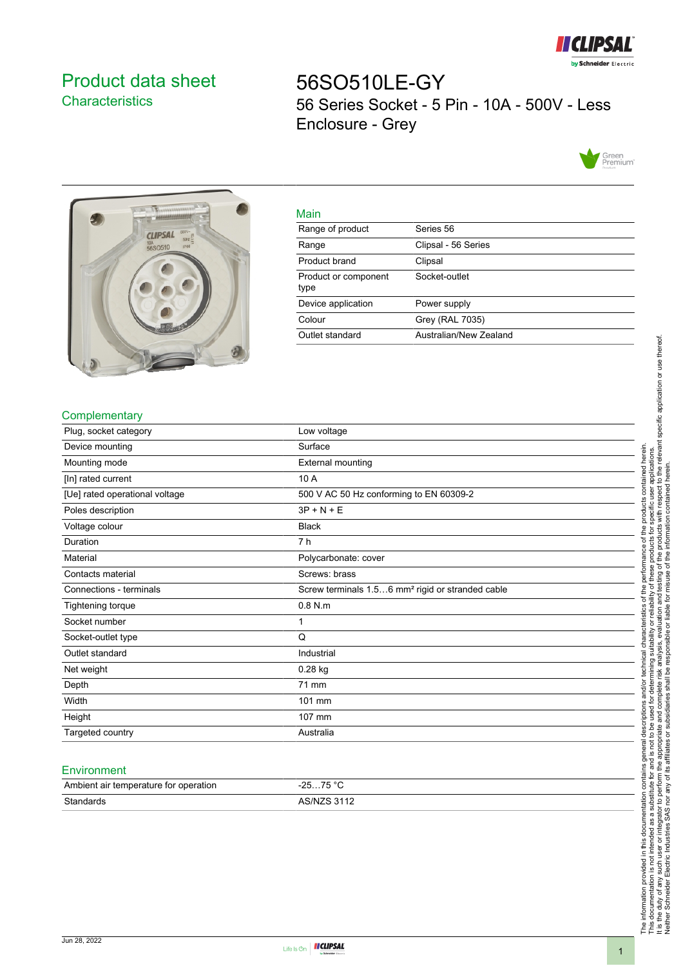

# <span id="page-0-0"></span>Product data sheet **Characteristics**

56SO510LE-GY 56 Series Socket - 5 Pin - 10A - 500V - Less Enclosure - Grey





| Main                         |                        |
|------------------------------|------------------------|
| Range of product             | Series 56              |
| Range                        | Clipsal - 56 Series    |
| Product brand                | Clipsal                |
| Product or component<br>type | Socket-outlet          |
| Device application           | Power supply           |
| Colour                       | Grey (RAL 7035)        |
| Outlet standard              | Australian/New Zealand |

## **Complementary**

| Plug, socket category          | Low voltage                                                  |
|--------------------------------|--------------------------------------------------------------|
| Device mounting                | Surface                                                      |
| Mounting mode                  | <b>External mounting</b>                                     |
| [In] rated current             | 10 A                                                         |
| [Ue] rated operational voltage | 500 V AC 50 Hz conforming to EN 60309-2                      |
| Poles description              | $3P + N + E$                                                 |
| Voltage colour                 | <b>Black</b>                                                 |
| Duration                       | 7 h                                                          |
| Material                       | Polycarbonate: cover                                         |
| Contacts material              | Screws: brass                                                |
| Connections - terminals        | Screw terminals 1.56 mm <sup>2</sup> rigid or stranded cable |
| <b>Tightening torque</b>       | $0.8$ N.m                                                    |
| Socket number                  |                                                              |
| Socket-outlet type             | Q                                                            |
| Outlet standard                | Industrial                                                   |
| Net weight                     | 0.28 kg                                                      |
| Depth                          | 71 mm                                                        |
| Width                          | 101 mm                                                       |
| Height                         | 107 mm                                                       |
| Targeted country               | Australia                                                    |

#### **Environment**

| Ambient air temperature for operation | 75 °C<br>ว⊏<br>. <b>. ب</b><br><b>20</b> |
|---------------------------------------|------------------------------------------|
| Standards                             | <b>ARINIZR 3112</b>                      |